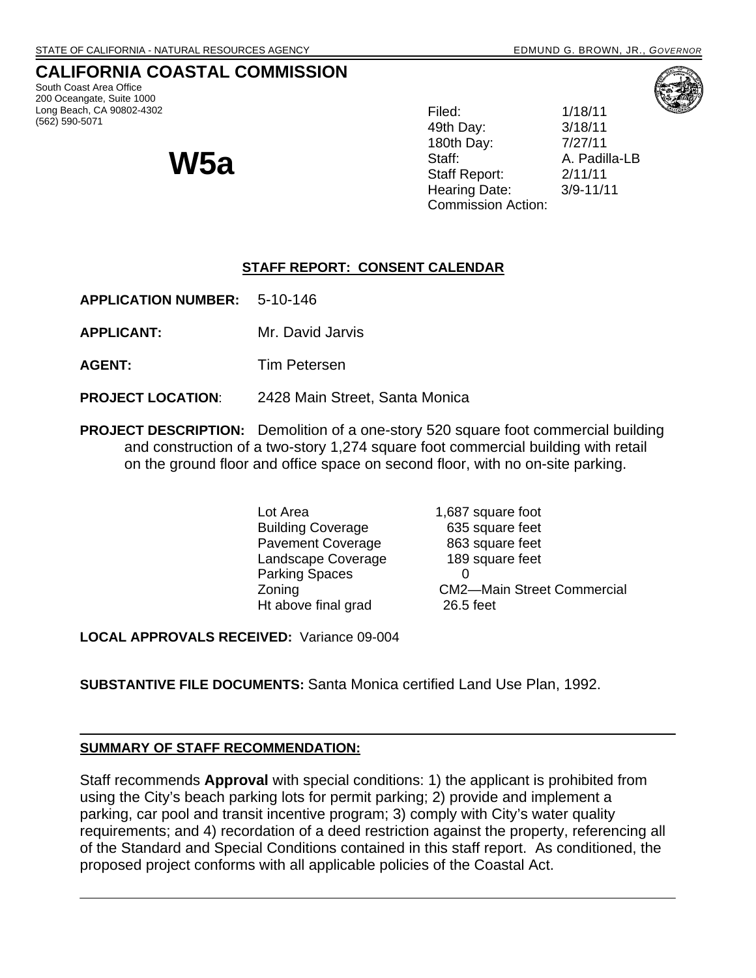# **CALIFORNIA COASTAL COMMISSION**

South Coast Area Office 200 Oceangate, Suite 1000 Long Beach, CA 90802-4302 (562) 590-5071

**W5a** 

Filed: 1/18/11 49th Day: 3/18/11 180th Day: 7/27/11 Staff: A. Padilla-LB Staff Report: 2/11/11 Hearing Date: 3/9-11/11 Commission Action:

### **STAFF REPORT: CONSENT CALENDAR**

**APPLICATION NUMBER:** 5-10-146

- **APPLICANT:** Mr. David Jarvis
- **AGENT:** Tim Petersen

#### **PROJECT LOCATION**: 2428 Main Street, Santa Monica

**PROJECT DESCRIPTION:** Demolition of a one-story 520 square foot commercial building and construction of a two-story 1,274 square foot commercial building with retail on the ground floor and office space on second floor, with no on-site parking.

> Lot Area 1,687 square foot Building Coverage 635 square feet Pavement Coverage 863 square feet Landscape Coverage 189 square feet Parking Spaces 0 Zoning CM2—Main Street Commercial Ht above final grad 26.5 feet

**LOCAL APPROVALS RECEIVED:** Variance 09-004

**SUBSTANTIVE FILE DOCUMENTS:** Santa Monica certified Land Use Plan, 1992.

#### **SUMMARY OF STAFF RECOMMENDATION:**

Staff recommends **Approval** with special conditions: 1) the applicant is prohibited from using the City's beach parking lots for permit parking; 2) provide and implement a parking, car pool and transit incentive program; 3) comply with City's water quality requirements; and 4) recordation of a deed restriction against the property, referencing all of the Standard and Special Conditions contained in this staff report. As conditioned, the proposed project conforms with all applicable policies of the Coastal Act.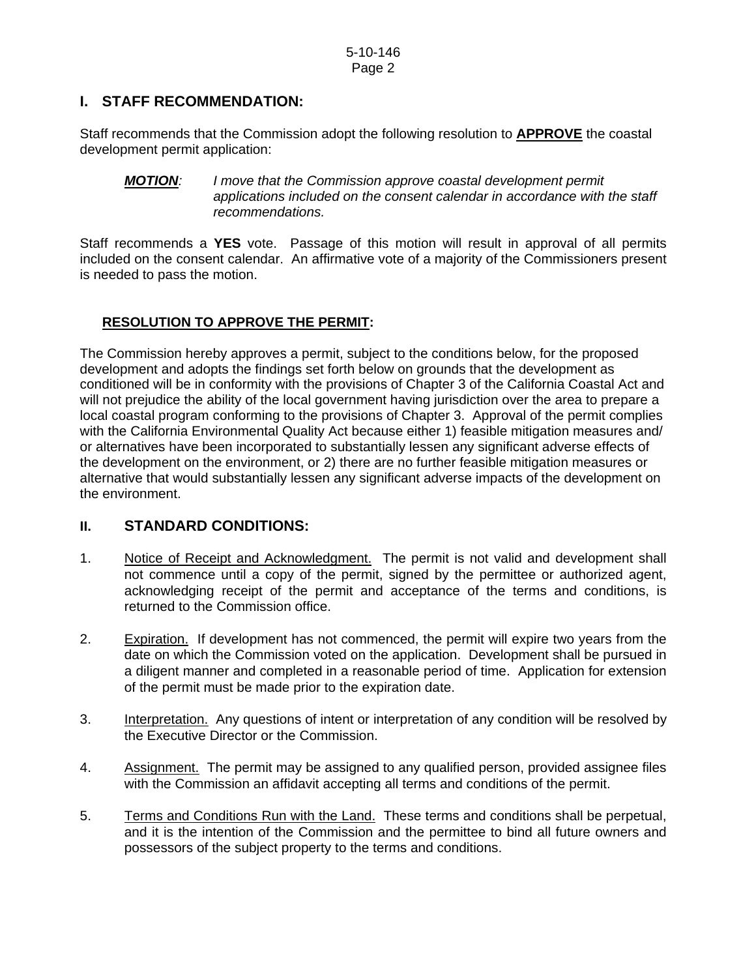## **I. STAFF RECOMMENDATION:**

Staff recommends that the Commission adopt the following resolution to **APPROVE** the coastal development permit application:

#### *MOTION: I move that the Commission approve coastal development permit applications included on the consent calendar in accordance with the staff recommendations.*

Staff recommends a **YES** vote. Passage of this motion will result in approval of all permits included on the consent calendar. An affirmative vote of a majority of the Commissioners present is needed to pass the motion.

#### **RESOLUTION TO APPROVE THE PERMIT:**

The Commission hereby approves a permit, subject to the conditions below, for the proposed development and adopts the findings set forth below on grounds that the development as conditioned will be in conformity with the provisions of Chapter 3 of the California Coastal Act and will not prejudice the ability of the local government having jurisdiction over the area to prepare a local coastal program conforming to the provisions of Chapter 3. Approval of the permit complies with the California Environmental Quality Act because either 1) feasible mitigation measures and/ or alternatives have been incorporated to substantially lessen any significant adverse effects of the development on the environment, or 2) there are no further feasible mitigation measures or alternative that would substantially lessen any significant adverse impacts of the development on the environment.

### **II. STANDARD CONDITIONS:**

- 1. Notice of Receipt and Acknowledgment. The permit is not valid and development shall not commence until a copy of the permit, signed by the permittee or authorized agent, acknowledging receipt of the permit and acceptance of the terms and conditions, is returned to the Commission office.
- 2. Expiration. If development has not commenced, the permit will expire two years from the date on which the Commission voted on the application. Development shall be pursued in a diligent manner and completed in a reasonable period of time. Application for extension of the permit must be made prior to the expiration date.
- 3. Interpretation. Any questions of intent or interpretation of any condition will be resolved by the Executive Director or the Commission.
- 4. Assignment. The permit may be assigned to any qualified person, provided assignee files with the Commission an affidavit accepting all terms and conditions of the permit.
- 5. Terms and Conditions Run with the Land. These terms and conditions shall be perpetual, and it is the intention of the Commission and the permittee to bind all future owners and possessors of the subject property to the terms and conditions.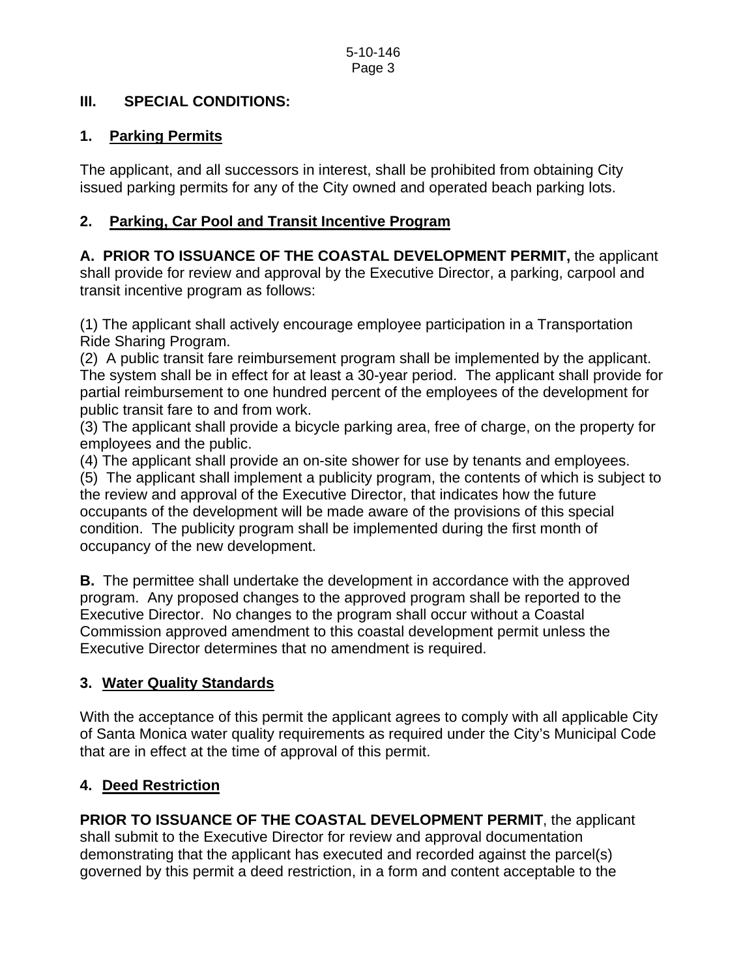## **III. SPECIAL CONDITIONS:**

## **1. Parking Permits**

The applicant, and all successors in interest, shall be prohibited from obtaining City issued parking permits for any of the City owned and operated beach parking lots.

# **2. Parking, Car Pool and Transit Incentive Program**

**A. PRIOR TO ISSUANCE OF THE COASTAL DEVELOPMENT PERMIT,** the applicant shall provide for review and approval by the Executive Director, a parking, carpool and transit incentive program as follows:

(1) The applicant shall actively encourage employee participation in a Transportation Ride Sharing Program.

(2) A public transit fare reimbursement program shall be implemented by the applicant. The system shall be in effect for at least a 30-year period. The applicant shall provide for partial reimbursement to one hundred percent of the employees of the development for public transit fare to and from work.

(3) The applicant shall provide a bicycle parking area, free of charge, on the property for employees and the public.

(4) The applicant shall provide an on-site shower for use by tenants and employees.

(5) The applicant shall implement a publicity program, the contents of which is subject to the review and approval of the Executive Director, that indicates how the future occupants of the development will be made aware of the provisions of this special condition. The publicity program shall be implemented during the first month of occupancy of the new development.

**B.** The permittee shall undertake the development in accordance with the approved program. Any proposed changes to the approved program shall be reported to the Executive Director. No changes to the program shall occur without a Coastal Commission approved amendment to this coastal development permit unless the Executive Director determines that no amendment is required.

# **3. Water Quality Standards**

With the acceptance of this permit the applicant agrees to comply with all applicable City of Santa Monica water quality requirements as required under the City's Municipal Code that are in effect at the time of approval of this permit.

# **4. Deed Restriction**

**PRIOR TO ISSUANCE OF THE COASTAL DEVELOPMENT PERMIT**, the applicant shall submit to the Executive Director for review and approval documentation demonstrating that the applicant has executed and recorded against the parcel(s) governed by this permit a deed restriction, in a form and content acceptable to the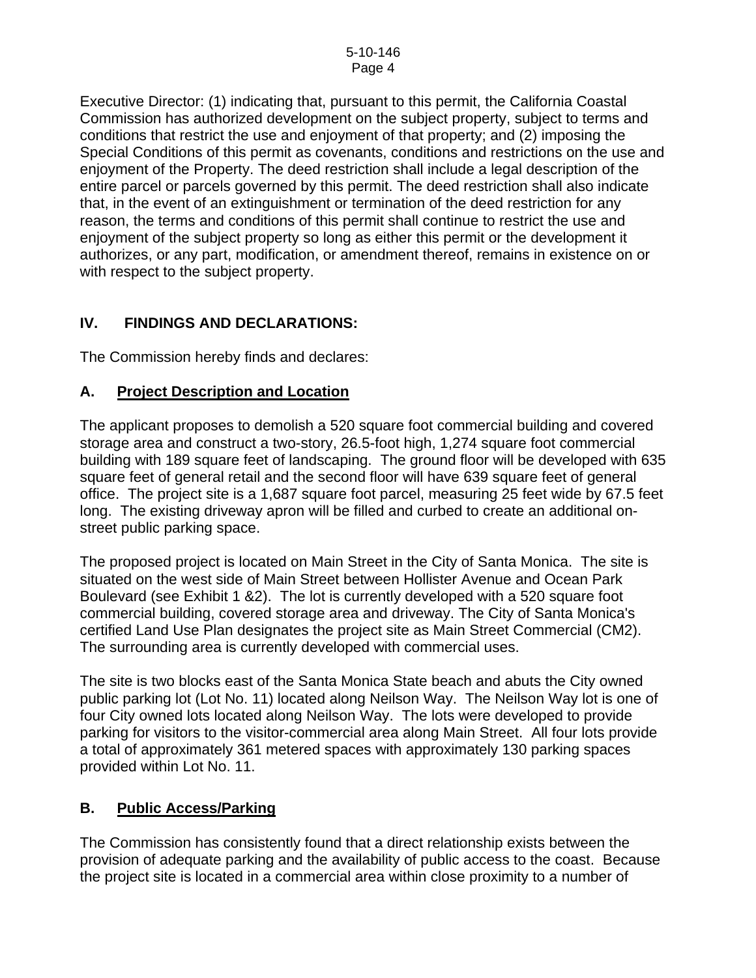Executive Director: (1) indicating that, pursuant to this permit, the California Coastal Commission has authorized development on the subject property, subject to terms and conditions that restrict the use and enjoyment of that property; and (2) imposing the Special Conditions of this permit as covenants, conditions and restrictions on the use and enjoyment of the Property. The deed restriction shall include a legal description of the entire parcel or parcels governed by this permit. The deed restriction shall also indicate that, in the event of an extinguishment or termination of the deed restriction for any reason, the terms and conditions of this permit shall continue to restrict the use and enjoyment of the subject property so long as either this permit or the development it authorizes, or any part, modification, or amendment thereof, remains in existence on or with respect to the subject property.

## **IV. FINDINGS AND DECLARATIONS:**

The Commission hereby finds and declares:

## **A. Project Description and Location**

The applicant proposes to demolish a 520 square foot commercial building and covered storage area and construct a two-story, 26.5-foot high, 1,274 square foot commercial building with 189 square feet of landscaping. The ground floor will be developed with 635 square feet of general retail and the second floor will have 639 square feet of general office. The project site is a 1,687 square foot parcel, measuring 25 feet wide by 67.5 feet long. The existing driveway apron will be filled and curbed to create an additional onstreet public parking space.

The proposed project is located on Main Street in the City of Santa Monica. The site is situated on the west side of Main Street between Hollister Avenue and Ocean Park Boulevard (see Exhibit 1 &2). The lot is currently developed with a 520 square foot commercial building, covered storage area and driveway. The City of Santa Monica's certified Land Use Plan designates the project site as Main Street Commercial (CM2). The surrounding area is currently developed with commercial uses.

The site is two blocks east of the Santa Monica State beach and abuts the City owned public parking lot (Lot No. 11) located along Neilson Way. The Neilson Way lot is one of four City owned lots located along Neilson Way. The lots were developed to provide parking for visitors to the visitor-commercial area along Main Street. All four lots provide a total of approximately 361 metered spaces with approximately 130 parking spaces provided within Lot No. 11.

## **B. Public Access/Parking**

The Commission has consistently found that a direct relationship exists between the provision of adequate parking and the availability of public access to the coast. Because the project site is located in a commercial area within close proximity to a number of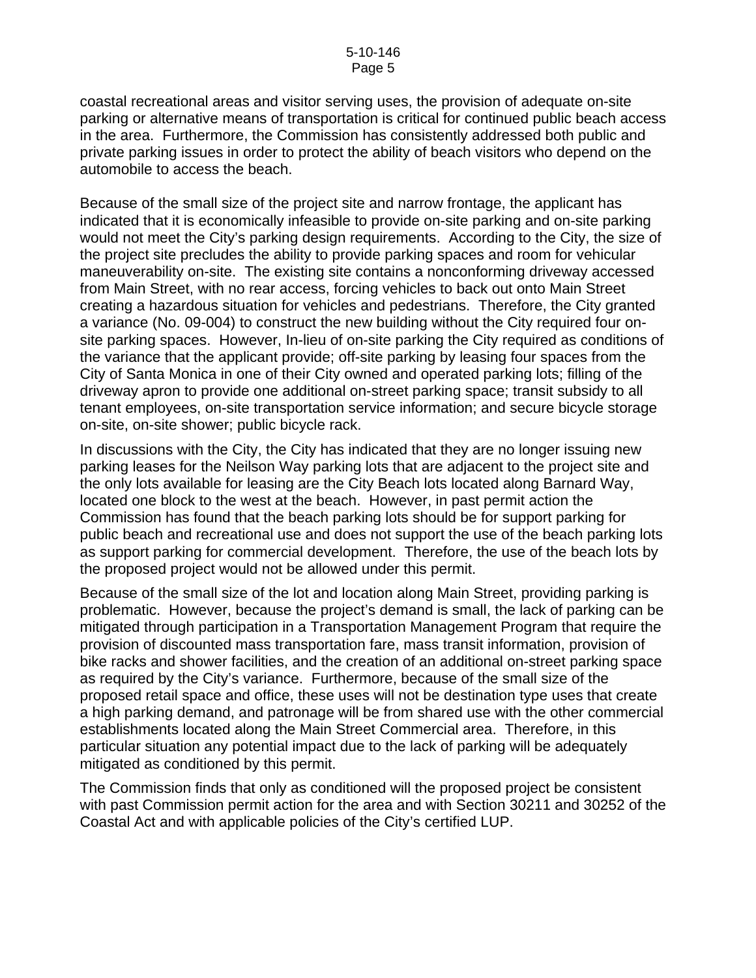coastal recreational areas and visitor serving uses, the provision of adequate on-site parking or alternative means of transportation is critical for continued public beach access in the area. Furthermore, the Commission has consistently addressed both public and private parking issues in order to protect the ability of beach visitors who depend on the automobile to access the beach.

Because of the small size of the project site and narrow frontage, the applicant has indicated that it is economically infeasible to provide on-site parking and on-site parking would not meet the City's parking design requirements. According to the City, the size of the project site precludes the ability to provide parking spaces and room for vehicular maneuverability on-site. The existing site contains a nonconforming driveway accessed from Main Street, with no rear access, forcing vehicles to back out onto Main Street creating a hazardous situation for vehicles and pedestrians. Therefore, the City granted a variance (No. 09-004) to construct the new building without the City required four onsite parking spaces. However, In-lieu of on-site parking the City required as conditions of the variance that the applicant provide; off-site parking by leasing four spaces from the City of Santa Monica in one of their City owned and operated parking lots; filling of the driveway apron to provide one additional on-street parking space; transit subsidy to all tenant employees, on-site transportation service information; and secure bicycle storage on-site, on-site shower; public bicycle rack.

In discussions with the City, the City has indicated that they are no longer issuing new parking leases for the Neilson Way parking lots that are adjacent to the project site and the only lots available for leasing are the City Beach lots located along Barnard Way, located one block to the west at the beach. However, in past permit action the Commission has found that the beach parking lots should be for support parking for public beach and recreational use and does not support the use of the beach parking lots as support parking for commercial development. Therefore, the use of the beach lots by the proposed project would not be allowed under this permit.

Because of the small size of the lot and location along Main Street, providing parking is problematic. However, because the project's demand is small, the lack of parking can be mitigated through participation in a Transportation Management Program that require the provision of discounted mass transportation fare, mass transit information, provision of bike racks and shower facilities, and the creation of an additional on-street parking space as required by the City's variance. Furthermore, because of the small size of the proposed retail space and office, these uses will not be destination type uses that create a high parking demand, and patronage will be from shared use with the other commercial establishments located along the Main Street Commercial area. Therefore, in this particular situation any potential impact due to the lack of parking will be adequately mitigated as conditioned by this permit.

The Commission finds that only as conditioned will the proposed project be consistent with past Commission permit action for the area and with Section 30211 and 30252 of the Coastal Act and with applicable policies of the City's certified LUP.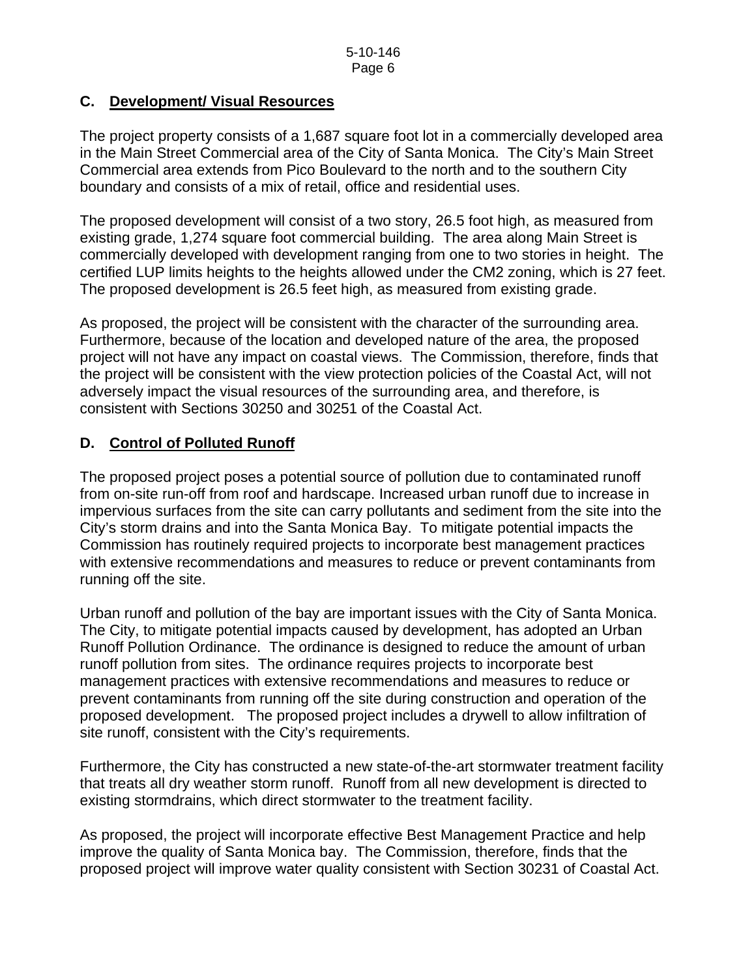## **C. Development/ Visual Resources**

The project property consists of a 1,687 square foot lot in a commercially developed area in the Main Street Commercial area of the City of Santa Monica. The City's Main Street Commercial area extends from Pico Boulevard to the north and to the southern City boundary and consists of a mix of retail, office and residential uses.

The proposed development will consist of a two story, 26.5 foot high, as measured from existing grade, 1,274 square foot commercial building. The area along Main Street is commercially developed with development ranging from one to two stories in height. The certified LUP limits heights to the heights allowed under the CM2 zoning, which is 27 feet. The proposed development is 26.5 feet high, as measured from existing grade.

As proposed, the project will be consistent with the character of the surrounding area. Furthermore, because of the location and developed nature of the area, the proposed project will not have any impact on coastal views. The Commission, therefore, finds that the project will be consistent with the view protection policies of the Coastal Act, will not adversely impact the visual resources of the surrounding area, and therefore, is consistent with Sections 30250 and 30251 of the Coastal Act.

## **D. Control of Polluted Runoff**

The proposed project poses a potential source of pollution due to contaminated runoff from on-site run-off from roof and hardscape. Increased urban runoff due to increase in impervious surfaces from the site can carry pollutants and sediment from the site into the City's storm drains and into the Santa Monica Bay. To mitigate potential impacts the Commission has routinely required projects to incorporate best management practices with extensive recommendations and measures to reduce or prevent contaminants from running off the site.

Urban runoff and pollution of the bay are important issues with the City of Santa Monica. The City, to mitigate potential impacts caused by development, has adopted an Urban Runoff Pollution Ordinance. The ordinance is designed to reduce the amount of urban runoff pollution from sites. The ordinance requires projects to incorporate best management practices with extensive recommendations and measures to reduce or prevent contaminants from running off the site during construction and operation of the proposed development. The proposed project includes a drywell to allow infiltration of site runoff, consistent with the City's requirements.

Furthermore, the City has constructed a new state-of-the-art stormwater treatment facility that treats all dry weather storm runoff. Runoff from all new development is directed to existing stormdrains, which direct stormwater to the treatment facility.

As proposed, the project will incorporate effective Best Management Practice and help improve the quality of Santa Monica bay. The Commission, therefore, finds that the proposed project will improve water quality consistent with Section 30231 of Coastal Act.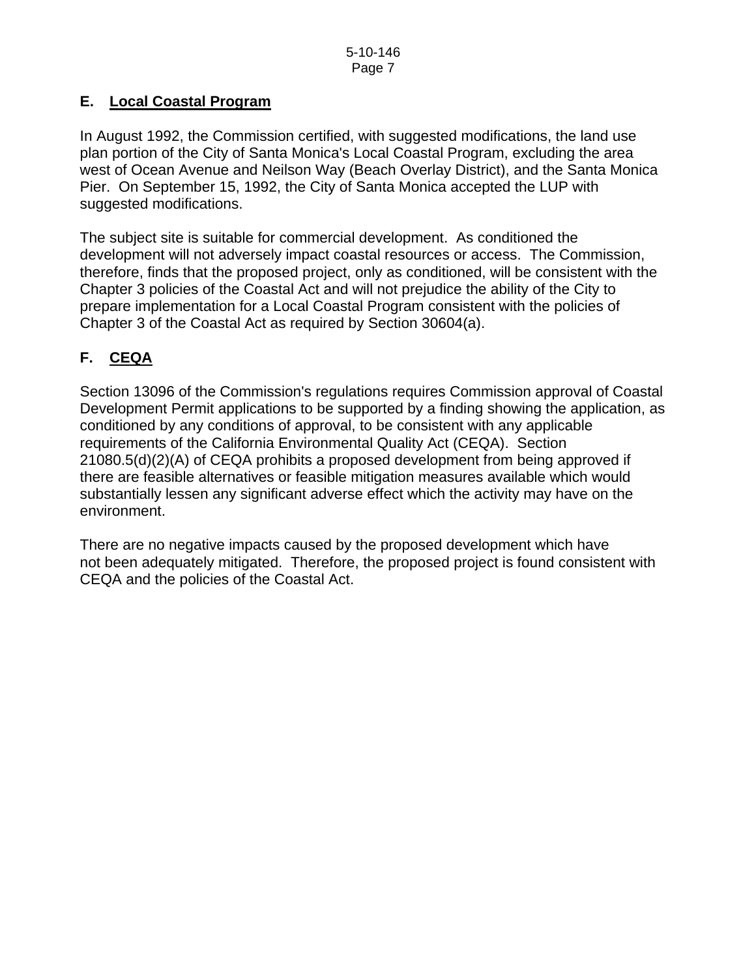## **E. Local Coastal Program**

In August 1992, the Commission certified, with suggested modifications, the land use plan portion of the City of Santa Monica's Local Coastal Program, excluding the area west of Ocean Avenue and Neilson Way (Beach Overlay District), and the Santa Monica Pier. On September 15, 1992, the City of Santa Monica accepted the LUP with suggested modifications.

The subject site is suitable for commercial development. As conditioned the development will not adversely impact coastal resources or access. The Commission, therefore, finds that the proposed project, only as conditioned, will be consistent with the Chapter 3 policies of the Coastal Act and will not prejudice the ability of the City to prepare implementation for a Local Coastal Program consistent with the policies of Chapter 3 of the Coastal Act as required by Section 30604(a).

# **F. CEQA**

Section 13096 of the Commission's regulations requires Commission approval of Coastal Development Permit applications to be supported by a finding showing the application, as conditioned by any conditions of approval, to be consistent with any applicable requirements of the California Environmental Quality Act (CEQA). Section 21080.5(d)(2)(A) of CEQA prohibits a proposed development from being approved if there are feasible alternatives or feasible mitigation measures available which would substantially lessen any significant adverse effect which the activity may have on the environment.

There are no negative impacts caused by the proposed development which have not been adequately mitigated. Therefore, the proposed project is found consistent with CEQA and the policies of the Coastal Act.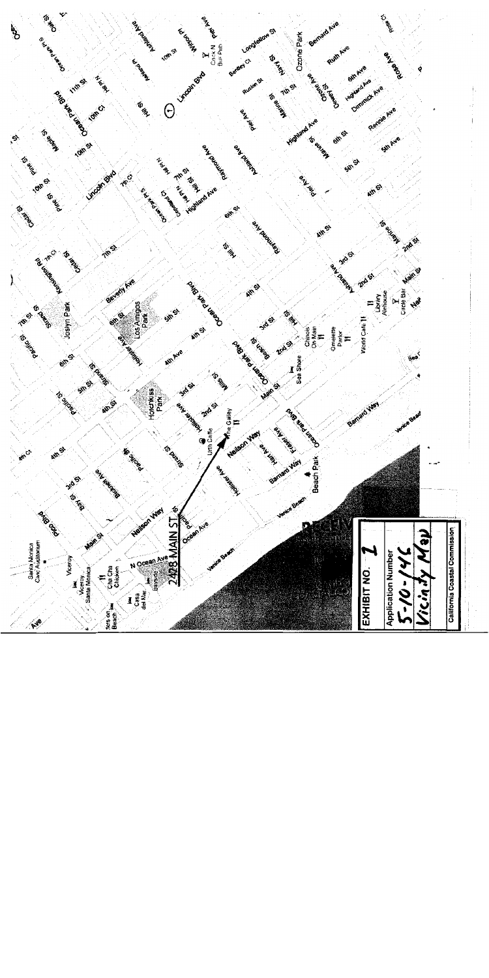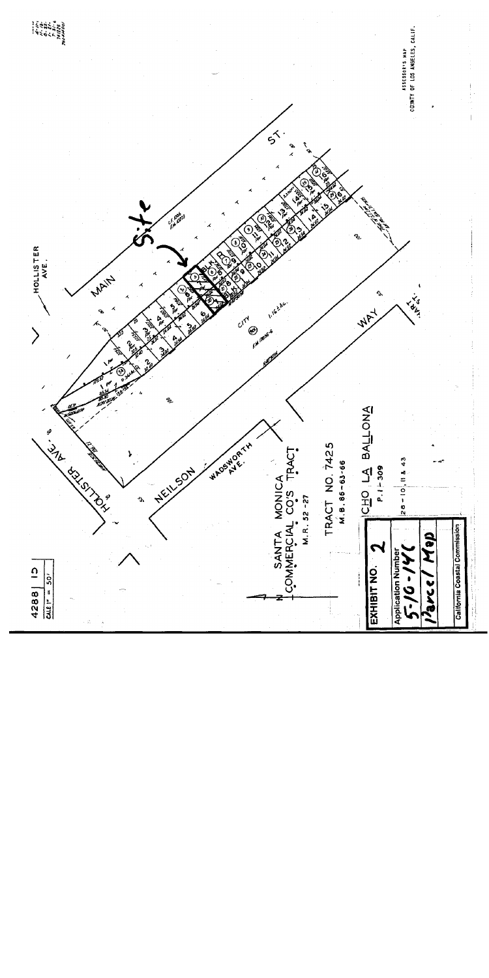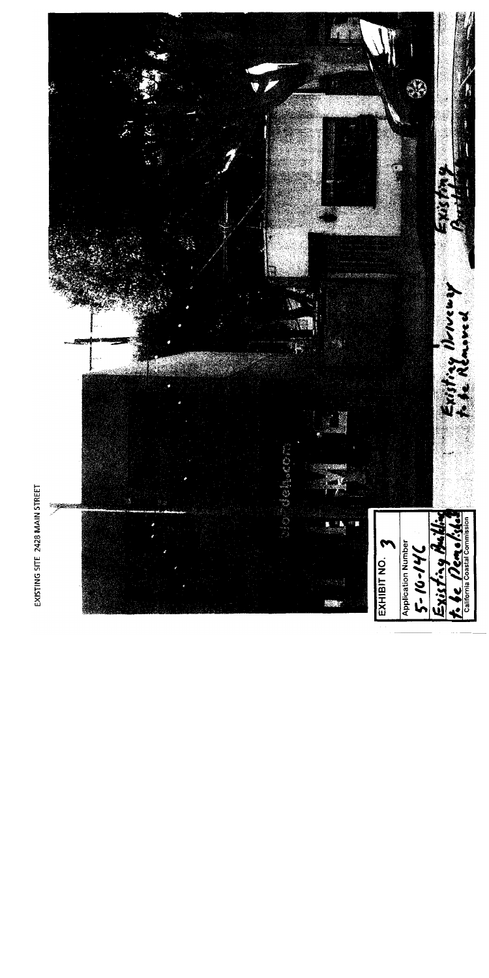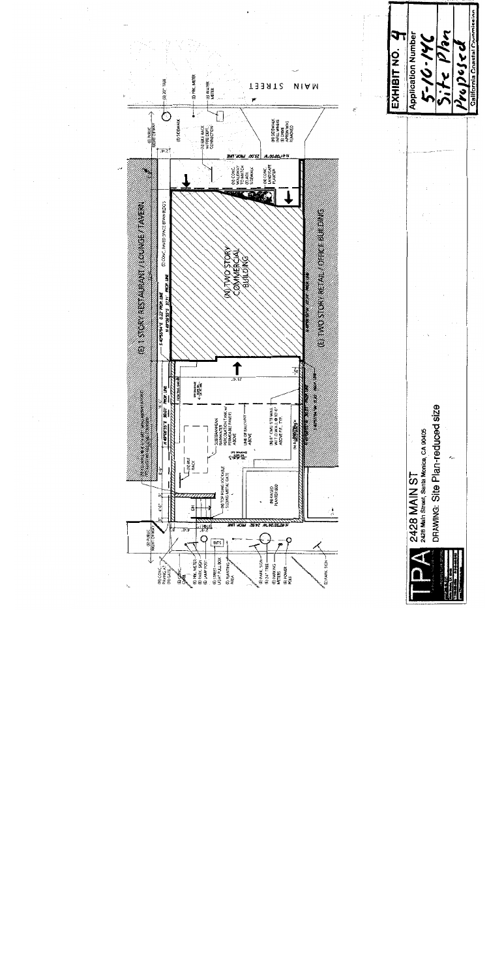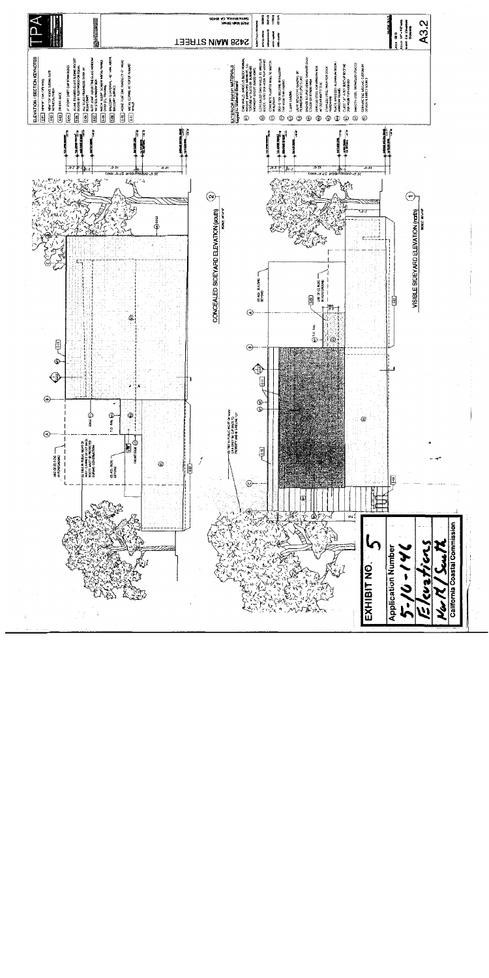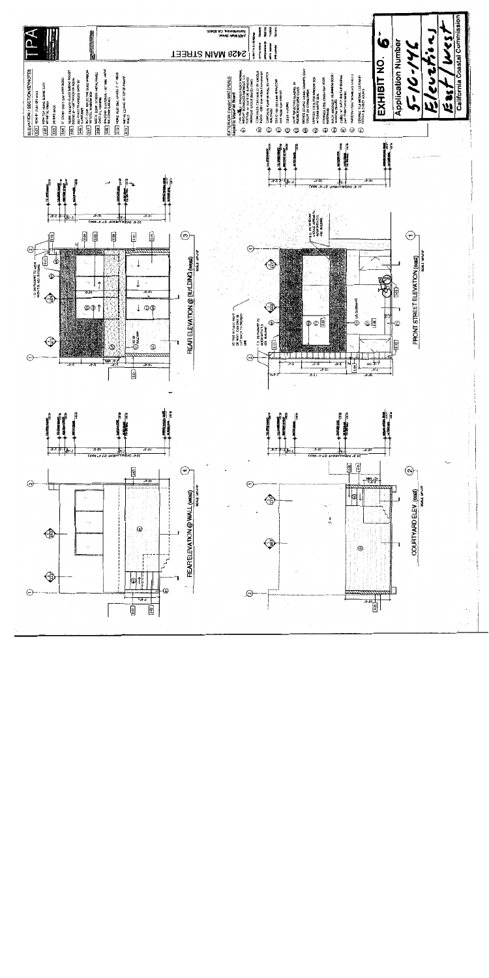